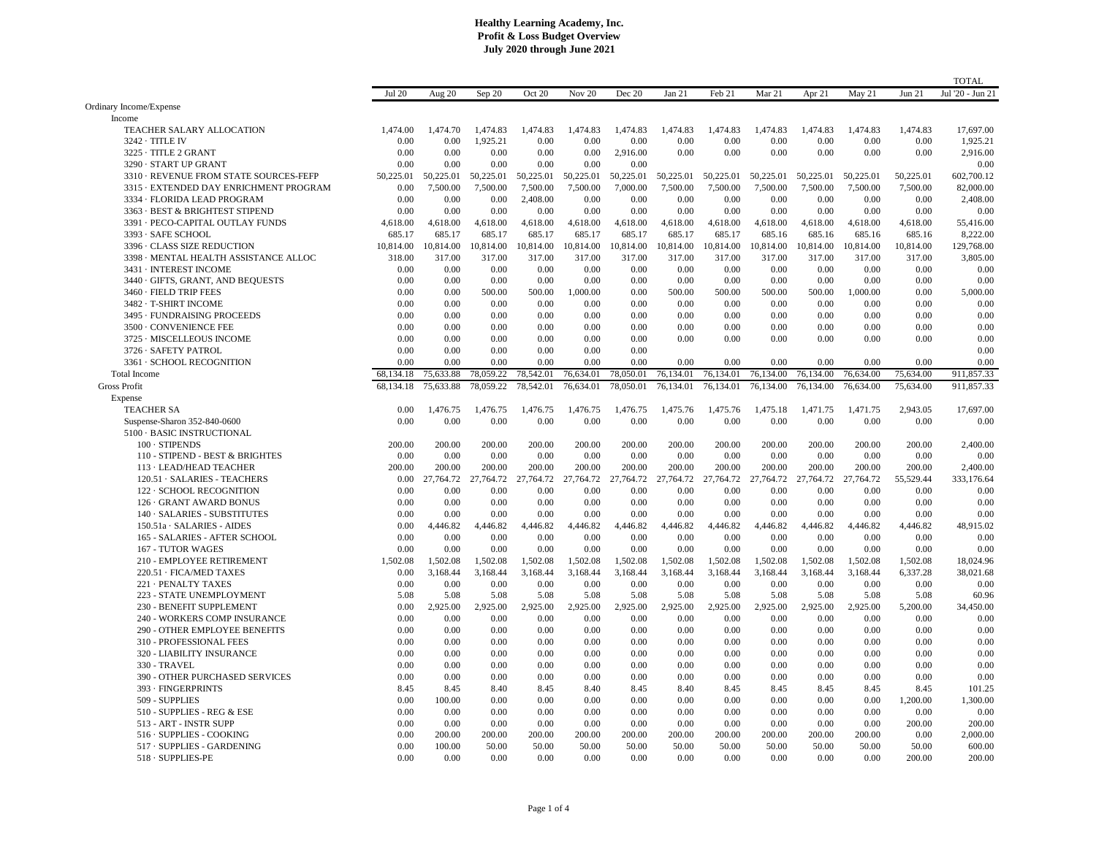|                                        |               |                  |                  |                  |                  |                  |                  |                  |                  |                  |                  |                  | <b>TOTAL</b>      |
|----------------------------------------|---------------|------------------|------------------|------------------|------------------|------------------|------------------|------------------|------------------|------------------|------------------|------------------|-------------------|
|                                        | <b>Jul 20</b> | Aug 20           | Sep 20           | Oct 20           | Nov 20           | Dec 20           | Jan 21           | Feb 21           | Mar 21           | Apr 21           | May 21           | Jun 21           | Jul '20 - Jun 21  |
| Ordinary Income/Expense                |               |                  |                  |                  |                  |                  |                  |                  |                  |                  |                  |                  |                   |
| Income                                 |               |                  |                  |                  |                  |                  |                  |                  |                  |                  |                  |                  |                   |
| TEACHER SALARY ALLOCATION              | 1,474.00      | 1,474.70         | 1.474.83         | 1.474.83         | 1.474.83         | 1.474.83         | 1.474.83         | 1,474.83         | 1.474.83         | 1.474.83         | 1.474.83         | 1.474.83         | 17,697.00         |
| 3242 · TITLE IV                        | 0.00          | 0.00             | 1,925.21         | 0.00             | 0.00             | 0.00             | 0.00             | 0.00             | 0.00             | 0.00             | 0.00             | 0.00             | 1,925.21          |
| 3225 · TITLE 2 GRANT                   | 0.00          | 0.00             | 0.00             | 0.00             | 0.00             | 2,916.00         | 0.00             | 0.00             | 0.00             | 0.00             | 0.00             | 0.00             | 2,916.00          |
| 3290 · START UP GRANT                  | 0.00          | 0.00             | 0.00             | 0.00             | 0.00             | 0.00             |                  |                  |                  |                  |                  |                  | 0.00              |
| 3310 · REVENUE FROM STATE SOURCES-FEFP | 50.225.01     | 50.225.01        | 50.225.01        | 50,225.01        | 50.225.01        | 50.225.01        | 50.225.01        | 50.225.01        | 50.225.01        | 50.225.01        | 50.225.01        | 50,225.01        | 602.700.12        |
| 3315 · EXTENDED DAY ENRICHMENT PROGRAM | 0.00          | 7,500.00         | 7,500.00         | 7,500.00         | 7,500.00         | 7,000.00         | 7,500.00         | 7,500.00         | 7,500.00         | 7,500.00         | 7,500.00         | 7,500.00         | 82,000.00         |
| 3334 · FLORIDA LEAD PROGRAM            | 0.00          | 0.00             | 0.00             | 2,408.00         | 0.00             | 0.00             | 0.00             | 0.00             | 0.00             | 0.00             | 0.00             | 0.00             | 2,408.00          |
| 3363 · BEST & BRIGHTEST STIPEND        | 0.00          | 0.00             | 0.00             | 0.00             | 0.00             | 0.00             | 0.00             | 0.00             | 0.00             | 0.00             | 0.00             | 0.00             | 0.00              |
| 3391 · PECO-CAPITAL OUTLAY FUNDS       | 4,618.00      | 4,618.00         | 4,618.00         | 4,618.00         | 4,618.00         | 4,618.00         | 4,618.00         | 4,618.00         | 4,618.00         | 4,618.00         | 4,618.00         | 4,618.00         | 55,416.00         |
| 3393 · SAFE SCHOOL                     | 685.17        | 685.17           | 685.17           | 685.17           | 685.17           | 685.17           | 685.17           | 685.17           | 685.16           | 685.16           | 685.16           | 685.16           | 8,222.00          |
| 3396 · CLASS SIZE REDUCTION            | 10,814.00     | 10,814.00        | 10,814.00        | 10,814.00        | 10,814.00        | 10,814.00        | 10,814.00        | 10,814.00        | 10,814.00        | 10,814.00        | 10,814.00        | 10,814.00        | 129,768.00        |
| 3398 · MENTAL HEALTH ASSISTANCE ALLOC  | 318.00        | 317.00           | 317.00           | 317.00           | 317.00           | 317.00           | 317.00           | 317.00           | 317.00           | 317.00           | 317.00           | 317.00           | 3,805.00          |
| 3431 · INTEREST INCOME                 | 0.00          | 0.00             | 0.00             | 0.00             | 0.00             | 0.00             | 0.00             | 0.00             | 0.00             | 0.00             | 0.00             | 0.00             | 0.00              |
| 3440 · GIFTS, GRANT, AND BEQUESTS      | 0.00          | 0.00             | 0.00             | 0.00             | 0.00             | 0.00             | 0.00             | 0.00             | 0.00             | 0.00             | 0.00             | 0.00             | 0.00              |
| 3460 · FIELD TRIP FEES                 | 0.00          | 0.00             | 500.00           | 500.00           | 1,000.00         | 0.00             | 500.00           | 500.00           | 500.00           | 500.00           | 1,000.00         | 0.00             | 5,000.00          |
| 3482 · T-SHIRT INCOME                  | 0.00          | 0.00             | 0.00             | 0.00             | 0.00             | 0.00             | 0.00             | 0.00             | 0.00             | 0.00             | 0.00             | 0.00             | 0.00              |
| 3495 · FUNDRAISING PROCEEDS            | 0.00          | 0.00             | 0.00             | 0.00             | 0.00             | 0.00             | 0.00             | 0.00             | 0.00             | 0.00             | 0.00             | 0.00             | 0.00              |
| 3500 · CONVENIENCE FEE                 | 0.00          | 0.00             | 0.00             | 0.00             | 0.00             | 0.00             | 0.00             | 0.00             | 0.00             | 0.00             | 0.00             | 0.00             | 0.00              |
| 3725 · MISCELLEOUS INCOME              | 0.00          | 0.00             | 0.00             | 0.00             | 0.00             | 0.00             | 0.00             | 0.00             | 0.00             | 0.00             | 0.00             | 0.00             | 0.00              |
| 3726 · SAFETY PATROL                   | 0.00          | 0.00             | 0.00             | 0.00             | 0.00             | 0.00             |                  |                  |                  |                  |                  |                  | 0.00              |
| 3361 · SCHOOL RECOGNITION              | 0.00          | 0.00             | 0.00             | 0.00             | 0.00             | 0.00             | 0.00             | 0.00             | 0.00             | 0.00             | 0.00             | 0.00             | 0.00              |
| <b>Total Income</b>                    | 68.134.18     | 75,633.88        | 78,059.22        | 78,542.01        | 76,634.01        | 78,050.01        | 76,134.01        | 76,134.01        | 76,134.00        | 76,134.00        | 76,634.00        | 75,634.00        | 911.857.33        |
| <b>Gross Profit</b>                    | 68,134.18     | 75,633.88        | 78,059.22        | 78,542.01        | 76,634.01        | 78,050.01        | 76,134.01        | 76,134.01        | 76,134.00        | 76,134.00        | 76,634.00        | 75,634.00        | 911,857.33        |
| Expense                                |               |                  |                  |                  |                  |                  |                  |                  |                  |                  |                  |                  |                   |
| <b>TEACHER SA</b>                      | 0.00          | 1,476.75         | 1,476.75         | 1,476.75         | 1,476.75         | 1,476.75         | 1,475.76         | 1,475.76         | 1,475.18         | 1,471.75         | 1,471.75         | 2,943.05         | 17,697.00         |
| Suspense-Sharon 352-840-0600           | 0.00          | 0.00             | 0.00             | 0.00             | 0.00             | 0.00             | 0.00             | 0.00             | 0.00             | 0.00             | 0.00             | 0.00             | 0.00              |
| 5100 · BASIC INSTRUCTIONAL             |               |                  |                  |                  |                  |                  |                  |                  |                  |                  |                  |                  |                   |
| $100 \cdot$ STIPENDS                   | 200.00        | 200.00           | 200.00           | 200.00           | 200.00           | 200.00           | 200.00           | 200.00           | 200.00           | 200.00           | 200.00           | 200.00           | 2,400.00          |
| 110 - STIPEND - BEST & BRIGHTES        | 0.00          | 0.00             | 0.00             | 0.00             | 0.00             | 0.00             | 0.00             | 0.00             | 0.00             | 0.00             | 0.00             | 0.00             | 0.00              |
| 113 · LEAD/HEAD TEACHER                | 200.00        | 200.00           | 200.00           | 200.00           | 200.00           | 200.00           | 200.00           | 200.00           | 200.00           | 200.00           | 200.00           | 200.00           | 2,400.00          |
| 120.51 · SALARIES - TEACHERS           | 0.00          | 27,764.72        | 27,764.72        | 27,764.72        | 27,764.72        | 27,764.72        | 27,764.72        | 27,764.72        | 27,764.72        | 27,764.72        | 27,764.72        | 55,529.44        | 333,176.64        |
| 122 · SCHOOL RECOGNITION               | 0.00          | 0.00             | 0.00             | 0.00             | 0.00             | 0.00             | 0.00             | 0.00             | 0.00             | 0.00             | 0.00             | 0.00             | 0.00              |
| 126 · GRANT AWARD BONUS                | 0.00          | 0.00             | 0.00             | 0.00             | 0.00             | 0.00             | 0.00             | 0.00             | 0.00             | 0.00             | 0.00             | 0.00             | 0.00              |
| 140 · SALARIES - SUBSTITUTES           |               | 0.00             | 0.00             | 0.00             | 0.00             |                  |                  | 0.00             | 0.00             | 0.00             |                  | 0.00             | 0.00              |
|                                        | 0.00          |                  |                  |                  |                  | 0.00             | 0.00             |                  |                  |                  | 0.00             |                  |                   |
| 150.51a · SALARIES - AIDES             | 0.00          | 4,446.82<br>0.00 | 4,446.82<br>0.00 | 4,446.82<br>0.00 | 4,446.82<br>0.00 | 4,446.82<br>0.00 | 4,446.82<br>0.00 | 4,446.82<br>0.00 | 4,446.82<br>0.00 | 4,446.82<br>0.00 | 4,446.82<br>0.00 | 4,446.82<br>0.00 | 48,915.02<br>0.00 |
| 165 - SALARIES - AFTER SCHOOL          | 0.00          |                  |                  |                  |                  |                  |                  |                  |                  |                  |                  |                  | 0.00              |
| 167 - TUTOR WAGES                      | 0.00          | 0.00             | 0.00<br>1,502.08 | 0.00<br>1,502.08 | 0.00             | 0.00             | 0.00             | 0.00             | 0.00             | 0.00<br>1,502.08 | 0.00             | 0.00             |                   |
| 210 - EMPLOYEE RETIREMENT              | 1,502.08      | 1,502.08         |                  |                  | 1,502.08         | 1,502.08         | 1,502.08         | 1,502.08         | 1,502.08         |                  | 1,502.08         | 1,502.08         | 18,024.96         |
| 220.51 · FICA/MED TAXES                | 0.00          | 3,168.44         | 3,168.44         | 3,168.44         | 3,168.44         | 3,168.44         | 3,168.44         | 3,168.44         | 3,168.44         | 3,168.44         | 3,168.44         | 6,337.28         | 38,021.68         |
| 221 · PENALTY TAXES                    | 0.00          | 0.00             | 0.00             | 0.00             | 0.00             | 0.00             | 0.00             | 0.00             | 0.00             | 0.00             | 0.00             | 0.00             | 0.00              |
| 223 - STATE UNEMPLOYMENT               | 5.08          | 5.08             | 5.08             | 5.08             | 5.08             | 5.08             | 5.08             | 5.08             | 5.08             | 5.08             | 5.08             | 5.08             | 60.96             |
| 230 - BENEFIT SUPPLEMENT               | 0.00          | 2,925.00         | 2,925.00         | 2,925.00         | 2,925.00         | 2,925.00         | 2,925.00         | 2,925.00         | 2,925.00         | 2,925.00         | 2,925.00         | 5,200.00         | 34,450.00         |
| 240 - WORKERS COMP INSURANCE           | 0.00          | 0.00             | 0.00             | 0.00             | 0.00             | 0.00             | 0.00             | 0.00             | 0.00             | 0.00             | 0.00             | 0.00             | 0.00              |
| 290 - OTHER EMPLOYEE BENEFITS          | 0.00          | 0.00             | 0.00             | 0.00             | 0.00             | 0.00             | 0.00             | 0.00             | 0.00             | 0.00             | 0.00             | 0.00             | 0.00              |
| 310 - PROFESSIONAL FEES                | 0.00          | 0.00             | 0.00             | 0.00             | 0.00             | 0.00             | 0.00             | 0.00             | 0.00             | 0.00             | 0.00             | 0.00             | 0.00              |
| 320 - LIABILITY INSURANCE              | 0.00          | 0.00             | 0.00             | 0.00             | 0.00             | 0.00             | 0.00             | 0.00             | 0.00             | 0.00             | 0.00             | 0.00             | 0.00              |
| <b>330 - TRAVEL</b>                    | 0.00          | 0.00             | 0.00             | 0.00             | 0.00             | 0.00             | 0.00             | 0.00             | 0.00             | 0.00             | 0.00             | 0.00             | 0.00              |
| 390 - OTHER PURCHASED SERVICES         | 0.00          | 0.00             | 0.00             | 0.00             | 0.00             | 0.00             | 0.00             | 0.00             | 0.00             | 0.00             | 0.00             | 0.00             | 0.00              |
| 393 · FINGERPRINTS                     | 8.45          | 8.45             | 8.40             | 8.45             | 8.40             | 8.45             | 8.40             | 8.45             | 8.45             | 8.45             | 8.45             | 8.45             | 101.25            |
| 509 - SUPPLIES                         | 0.00          | 100.00           | 0.00             | 0.00             | 0.00             | 0.00             | 0.00             | 0.00             | 0.00             | 0.00             | 0.00             | 1,200.00         | 1,300.00          |
| 510 - SUPPLIES - REG & ESE             | 0.00          | 0.00             | 0.00             | 0.00             | 0.00             | 0.00             | 0.00             | 0.00             | 0.00             | 0.00             | 0.00             | 0.00             | 0.00              |
| 513 - ART - INSTR SUPP                 | 0.00          | 0.00             | 0.00             | 0.00             | 0.00             | 0.00             | 0.00             | 0.00             | 0.00             | 0.00             | 0.00             | 200.00           | 200.00            |
| 516 · SUPPLIES - COOKING               | 0.00          | 200.00           | 200.00           | 200.00           | 200.00           | 200.00           | 200.00           | 200.00           | 200.00           | 200.00           | 200.00           | 0.00             | 2,000.00          |
| 517 · SUPPLIES - GARDENING             | 0.00          | 100.00           | 50.00            | 50.00            | 50.00            | 50.00            | 50.00            | 50.00            | 50.00            | 50.00            | 50.00            | 50.00            | 600.00            |
| 518 · SUPPLIES-PE                      | 0.00          | 0.00             | 0.00             | 0.00             | 0.00             | 0.00             | 0.00             | 0.00             | 0.00             | 0.00             | 0.00             | 200.00           | 200.00            |
|                                        |               |                  |                  |                  |                  |                  |                  |                  |                  |                  |                  |                  |                   |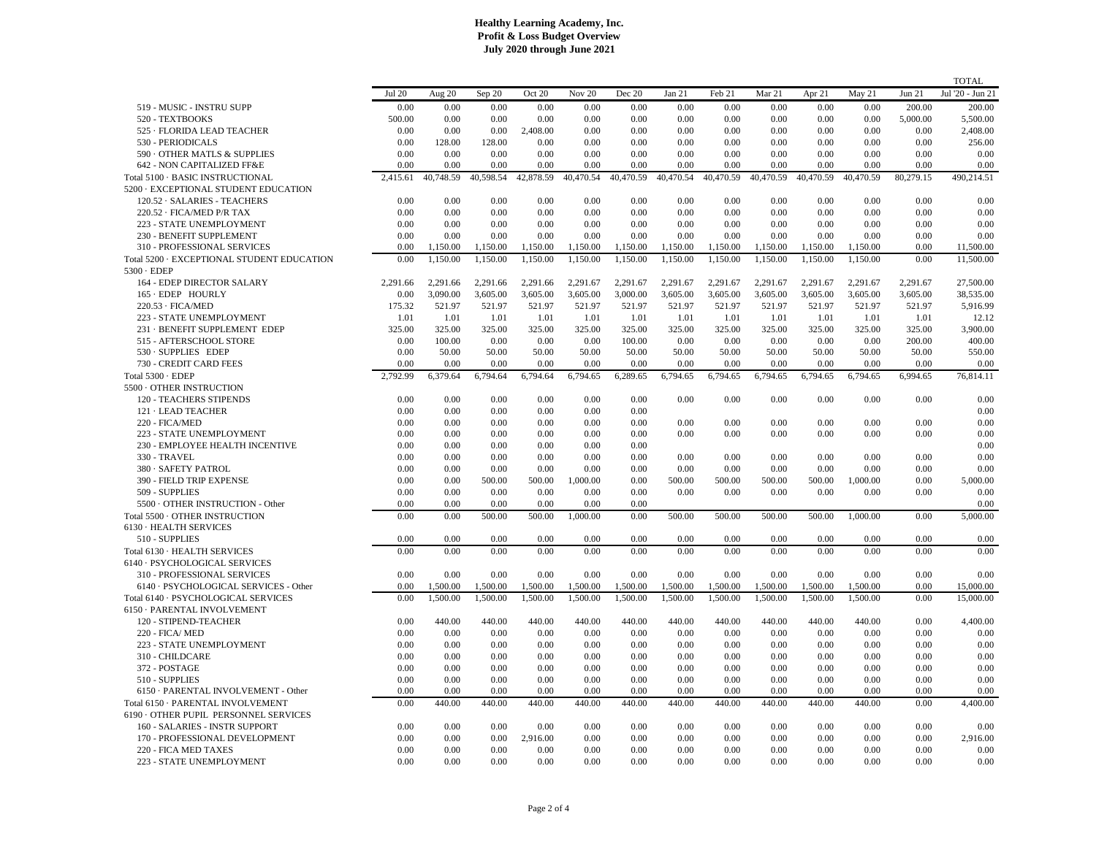|                                            |               |           |           |           |           |           |           |           |           |           |           |           | <b>TOTAL</b>     |
|--------------------------------------------|---------------|-----------|-----------|-----------|-----------|-----------|-----------|-----------|-----------|-----------|-----------|-----------|------------------|
|                                            | <b>Jul 20</b> | Aug 20    | Sep 20    | Oct 20    | Nov 20    | Dec 20    | Jan 21    | Feb 21    | Mar 21    | Apr 21    | May 21    | Jun 21    | Jul '20 - Jun 21 |
| 519 - MUSIC - INSTRU SUPP                  | 0.00          | 0.00      | 0.00      | 0.00      | 0.00      | 0.00      | 0.00      | 0.00      | 0.00      | 0.00      | 0.00      | 200.00    | 200.00           |
| 520 - TEXTBOOKS                            | 500.00        | 0.00      | 0.00      | 0.00      | 0.00      | 0.00      | 0.00      | 0.00      | 0.00      | 0.00      | 0.00      | 5,000.00  | 5,500.00         |
| 525 · FLORIDA LEAD TEACHER                 | 0.00          | 0.00      | 0.00      | 2,408.00  | 0.00      | 0.00      | 0.00      | 0.00      | 0.00      | 0.00      | 0.00      | 0.00      | 2,408.00         |
| 530 - PERIODICALS                          | 0.00          | 128.00    | 128.00    | 0.00      | 0.00      | 0.00      | 0.00      | 0.00      | 0.00      | 0.00      | 0.00      | 0.00      | 256.00           |
| 590 · OTHER MATLS & SUPPLIES               | 0.00          | 0.00      | 0.00      | 0.00      | 0.00      | 0.00      | 0.00      | 0.00      | 0.00      | 0.00      | 0.00      | 0.00      | 0.00             |
| 642 - NON CAPITALIZED FF&E                 | 0.00          | 0.00      | 0.00      | 0.00      | 0.00      | 0.00      | 0.00      | 0.00      | 0.00      | 0.00      | 0.00      | 0.00      | 0.00             |
| Total 5100 · BASIC INSTRUCTIONAL           | 2,415.61      | 40,748.59 | 40,598.54 | 42,878.59 | 40,470.54 | 40,470.59 | 40,470.54 | 40,470.59 | 40,470.59 | 40,470.59 | 40,470.59 | 80,279.15 | 490,214.51       |
| 5200 · EXCEPTIONAL STUDENT EDUCATION       |               |           |           |           |           |           |           |           |           |           |           |           |                  |
| 120.52 · SALARIES - TEACHERS               | 0.00          | 0.00      | 0.00      | 0.00      | 0.00      | 0.00      | 0.00      | 0.00      | 0.00      | 0.00      | 0.00      | 0.00      | 0.00             |
| 220.52 · FICA/MED P/R TAX                  | 0.00          | 0.00      | 0.00      | 0.00      | 0.00      | 0.00      | 0.00      | 0.00      | 0.00      | 0.00      | 0.00      | 0.00      | 0.00             |
| 223 - STATE UNEMPLOYMENT                   | 0.00          | 0.00      | 0.00      | 0.00      | 0.00      | 0.00      | 0.00      | 0.00      | 0.00      | 0.00      | 0.00      | 0.00      | 0.00             |
| 230 - BENEFIT SUPPLEMENT                   | 0.00          | 0.00      | 0.00      | 0.00      | 0.00      | 0.00      | 0.00      | 0.00      | 0.00      | 0.00      | 0.00      | 0.00      | 0.00             |
| 310 - PROFESSIONAL SERVICES                | 0.00          | 1,150.00  | 1,150.00  | 1,150.00  | 1,150.00  | 1,150.00  | 1,150.00  | 1,150.00  | 1,150.00  | 1,150.00  | 1,150.00  | 0.00      | 11,500.00        |
|                                            |               |           |           |           |           |           |           |           |           |           |           |           |                  |
| Total 5200 · EXCEPTIONAL STUDENT EDUCATION | 0.00          | 1.150.00  | 1.150.00  | 1.150.00  | 1.150.00  | 1.150.00  | 1.150.00  | 1.150.00  | 1.150.00  | 1.150.00  | 1.150.00  | 0.00      | 11.500.00        |
| $5300 \cdot EDEP$                          |               |           |           |           |           |           |           |           |           |           |           |           |                  |
| 164 - EDEP DIRECTOR SALARY                 | 2.291.66      | 2.291.66  | 2.291.66  | 2,291.66  | 2.291.67  | 2.291.67  | 2,291.67  | 2,291.67  | 2,291.67  | 2,291.67  | 2,291.67  | 2,291.67  | 27,500.00        |
| 165 · EDEP HOURLY                          | 0.00          | 3,090.00  | 3,605.00  | 3,605.00  | 3,605.00  | 3,000.00  | 3,605.00  | 3,605.00  | 3,605.00  | 3,605.00  | 3,605.00  | 3,605.00  | 38,535.00        |
| 220.53 · FICA/MED                          | 175.32        | 521.97    | 521.97    | 521.97    | 521.97    | 521.97    | 521.97    | 521.97    | 521.97    | 521.97    | 521.97    | 521.97    | 5,916.99         |
| 223 - STATE UNEMPLOYMENT                   | 1.01          | 1.01      | 1.01      | 1.01      | 1.01      | 1.01      | 1.01      | 1.01      | 1.01      | 1.01      | 1.01      | 1.01      | 12.12            |
| 231 · BENEFIT SUPPLEMENT EDEP              | 325.00        | 325.00    | 325.00    | 325.00    | 325.00    | 325.00    | 325.00    | 325.00    | 325.00    | 325.00    | 325.00    | 325.00    | 3,900.00         |
| 515 - AFTERSCHOOL STORE                    | 0.00          | 100.00    | 0.00      | 0.00      | 0.00      | 100.00    | 0.00      | 0.00      | 0.00      | 0.00      | 0.00      | 200.00    | 400.00           |
| 530 · SUPPLIES EDEP                        | 0.00          | 50.00     | 50.00     | 50.00     | 50.00     | 50.00     | 50.00     | 50.00     | 50.00     | 50.00     | 50.00     | 50.00     | 550.00           |
| 730 - CREDIT CARD FEES                     | 0.00          | 0.00      | 0.00      | 0.00      | 0.00      | 0.00      | 0.00      | 0.00      | 0.00      | 0.00      | 0.00      | 0.00      | 0.00             |
| Total 5300 · EDEP                          | 2,792.99      | 6,379.64  | 6,794.64  | 6,794.64  | 6,794.65  | 6,289.65  | 6,794.65  | 6,794.65  | 6,794.65  | 6,794.65  | 6,794.65  | 6,994.65  | 76,814.11        |
| 5500 OTHER INSTRUCTION                     |               |           |           |           |           |           |           |           |           |           |           |           |                  |
| 120 - TEACHERS STIPENDS                    | 0.00          | 0.00      | 0.00      | 0.00      | 0.00      | 0.00      | 0.00      | 0.00      | 0.00      | 0.00      | 0.00      | 0.00      | 0.00             |
| 121 · LEAD TEACHER                         | 0.00          | 0.00      | 0.00      | 0.00      | 0.00      | 0.00      |           |           |           |           |           |           | 0.00             |
| 220 - FICA/MED                             | 0.00          | 0.00      | 0.00      | 0.00      | 0.00      | 0.00      | 0.00      | 0.00      | 0.00      | 0.00      | 0.00      | 0.00      | 0.00             |
| 223 - STATE UNEMPLOYMENT                   | 0.00          | 0.00      | 0.00      | 0.00      | 0.00      | 0.00      | 0.00      | 0.00      | 0.00      | 0.00      | 0.00      | 0.00      | 0.00             |
| 230 - EMPLOYEE HEALTH INCENTIVE            | 0.00          | 0.00      | 0.00      | 0.00      | 0.00      | 0.00      |           |           |           |           |           |           | 0.00             |
| 330 - TRAVEL                               | 0.00          | 0.00      | 0.00      | 0.00      | 0.00      | 0.00      | 0.00      | 0.00      | 0.00      | 0.00      | 0.00      | 0.00      | 0.00             |
| 380 · SAFETY PATROL                        | 0.00          | 0.00      | 0.00      | 0.00      | 0.00      | 0.00      | 0.00      | 0.00      | 0.00      | 0.00      | 0.00      | 0.00      | 0.00             |
| 390 - FIELD TRIP EXPENSE                   | 0.00          | 0.00      | 500.00    | 500.00    | 1,000.00  | 0.00      | 500.00    | 500.00    | 500.00    | 500.00    | 1,000.00  | 0.00      | 5,000.00         |
| 509 - SUPPLIES                             | 0.00          | 0.00      | 0.00      | 0.00      | 0.00      | 0.00      | 0.00      | 0.00      | 0.00      | 0.00      | 0.00      | 0.00      | 0.00             |
| 5500 OTHER INSTRUCTION - Other             | 0.00          | 0.00      | 0.00      | 0.00      | 0.00      | 0.00      |           |           |           |           |           |           | 0.00             |
| Total 5500 · OTHER INSTRUCTION             | 0.00          | 0.00      | 500.00    | 500.00    | 1,000.00  | 0.00      | 500.00    | 500.00    | 500.00    | 500.00    | 1,000.00  | 0.00      | 5,000.00         |
| 6130 · HEALTH SERVICES                     |               |           |           |           |           |           |           |           |           |           |           |           |                  |
| 510 - SUPPLIES                             | 0.00          | 0.00      | 0.00      | 0.00      | 0.00      | 0.00      | 0.00      | 0.00      | 0.00      | 0.00      | 0.00      | 0.00      | 0.00             |
| Total 6130 · HEALTH SERVICES               | 0.00          | 0.00      | 0.00      | 0.00      | 0.00      | 0.00      | 0.00      | 0.00      | 0.00      | 0.00      | 0.00      | 0.00      | 0.00             |
| 6140 · PSYCHOLOGICAL SERVICES              |               |           |           |           |           |           |           |           |           |           |           |           |                  |
| 310 - PROFESSIONAL SERVICES                | 0.00          | 0.00      | 0.00      | 0.00      | 0.00      | 0.00      | 0.00      | 0.00      | 0.00      | 0.00      | 0.00      | 0.00      | 0.00             |
| 6140 · PSYCHOLOGICAL SERVICES - Other      | 0.00          | 1,500.00  | 1,500.00  | 1,500.00  | 1,500.00  | 1,500.00  | 1,500.00  | 1,500.00  | 1,500.00  | 1,500.00  | 1,500.00  | 0.00      | 15,000.00        |
| Total 6140 · PSYCHOLOGICAL SERVICES        | 0.00          | 1,500.00  | 1,500.00  | 1,500.00  | 1,500.00  | 1,500.00  | 1,500.00  | 1,500.00  | 1,500.00  | 1,500.00  | 1,500.00  | 0.00      | 15,000.00        |
| 6150 · PARENTAL INVOLVEMENT                |               |           |           |           |           |           |           |           |           |           |           |           |                  |
| 120 - STIPEND-TEACHER                      | 0.00          | 440.00    | 440.00    | 440.00    | 440.00    | 440.00    | 440.00    | 440.00    | 440.00    | 440.00    | 440.00    | 0.00      | 4,400.00         |
| <b>220 - FICA/ MED</b>                     | 0.00          | 0.00      | 0.00      | 0.00      | 0.00      | 0.00      | 0.00      | 0.00      | 0.00      | 0.00      | 0.00      | 0.00      | 0.00             |
| 223 - STATE UNEMPLOYMENT                   | 0.00          | 0.00      | 0.00      | 0.00      | 0.00      | 0.00      | 0.00      | 0.00      | 0.00      | 0.00      | 0.00      | 0.00      | 0.00             |
| 310 - CHILDCARE                            | 0.00          | 0.00      | 0.00      | 0.00      | 0.00      | 0.00      | 0.00      | 0.00      | 0.00      | 0.00      | 0.00      | 0.00      | 0.00             |
| 372 - POSTAGE                              | 0.00          | 0.00      | 0.00      | 0.00      | 0.00      | 0.00      | 0.00      | 0.00      | 0.00      | 0.00      | 0.00      | 0.00      | 0.00             |
| 510 - SUPPLIES                             | 0.00          | 0.00      | 0.00      | 0.00      | 0.00      | 0.00      | 0.00      | 0.00      | 0.00      | 0.00      | 0.00      | 0.00      | 0.00             |
| 6150 · PARENTAL INVOLVEMENT - Other        | 0.00          | 0.00      | 0.00      | 0.00      | 0.00      | 0.00      | 0.00      | 0.00      | 0.00      | 0.00      | 0.00      | 0.00      | 0.00             |
|                                            |               |           |           |           |           |           |           |           |           |           |           |           |                  |
| Total 6150 · PARENTAL INVOLVEMENT          | 0.00          | 440.00    | 440.00    | 440.00    | 440.00    | 440.00    | 440.00    | 440.00    | 440.00    | 440.00    | 440.00    | 0.00      | 4,400.00         |
| 6190 OTHER PUPIL PERSONNEL SERVICES        |               |           |           |           |           |           |           |           |           |           |           |           |                  |
| 160 - SALARIES - INSTR SUPPORT             | 0.00          | 0.00      | 0.00      | 0.00      | 0.00      | 0.00      | 0.00      | 0.00      | 0.00      | 0.00      | 0.00      | 0.00      | 0.00             |
| 170 - PROFESSIONAL DEVELOPMENT             | 0.00          | 0.00      | 0.00      | 2,916.00  | 0.00      | 0.00      | 0.00      | 0.00      | 0.00      | 0.00      | 0.00      | 0.00      | 2,916.00         |
| 220 - FICA MED TAXES                       | 0.00          | 0.00      | 0.00      | 0.00      | 0.00      | 0.00      | 0.00      | 0.00      | 0.00      | 0.00      | 0.00      | 0.00      | 0.00             |
| 223 - STATE UNEMPLOYMENT                   | 0.00          | 0.00      | 0.00      | 0.00      | 0.00      | 0.00      | 0.00      | 0.00      | 0.00      | 0.00      | 0.00      | 0.00      | 0.00             |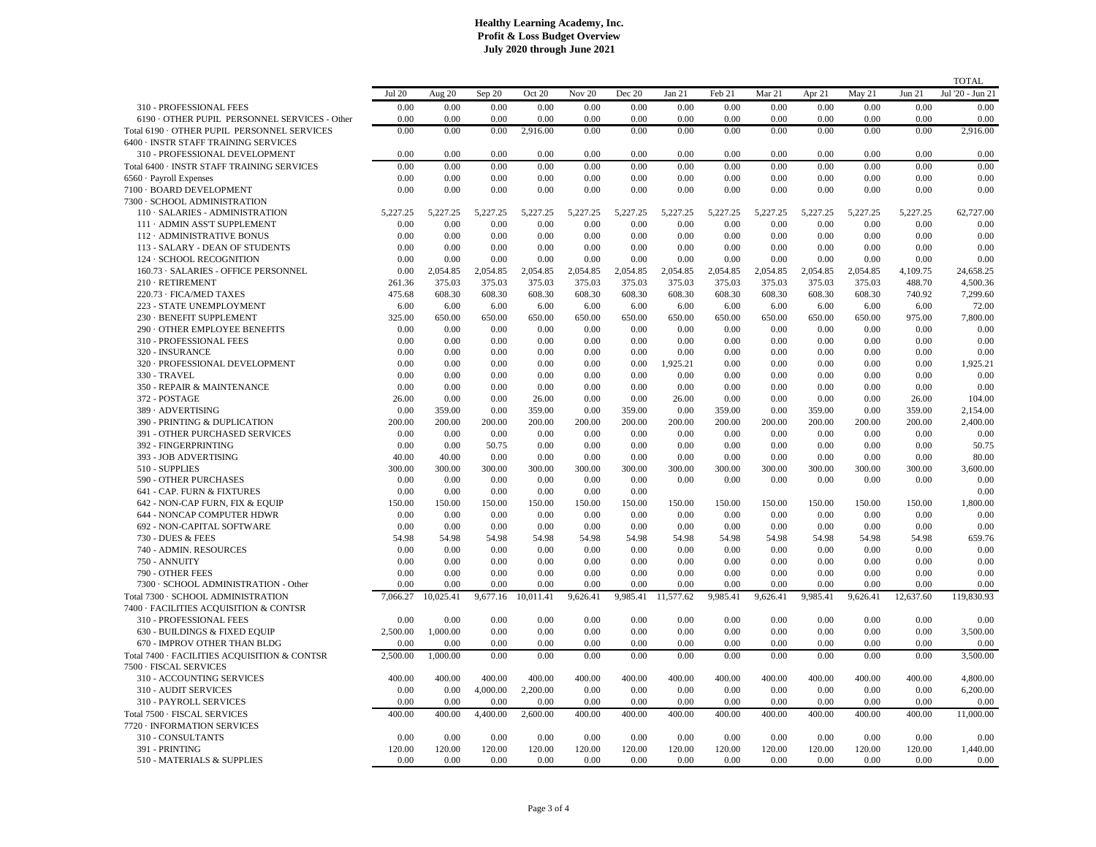|                                               |               |           |          |           |          |          |           |          |          |          |          |           | <b>TOTAL</b>     |
|-----------------------------------------------|---------------|-----------|----------|-----------|----------|----------|-----------|----------|----------|----------|----------|-----------|------------------|
|                                               | <b>Jul 20</b> | Aug 20    | Sep 20   | Oct 20    | Nov 20   | Dec 20   | Jan 21    | Feb 21   | Mar 21   | Apr 21   | May 21   | Jun 21    | Jul '20 - Jun 21 |
| 310 - PROFESSIONAL FEES                       | 0.00          | 0.00      | 0.00     | 0.00      | 0.00     | 0.00     | 0.00      | 0.00     | 0.00     | 0.00     | 0.00     | 0.00      | 0.00             |
| 6190 · OTHER PUPIL PERSONNEL SERVICES - Other | 0.00          | 0.00      | 0.00     | 0.00      | 0.00     | 0.00     | 0.00      | 0.00     | 0.00     | 0.00     | 0.00     | 0.00      | 0.00             |
| Total 6190 · OTHER PUPIL PERSONNEL SERVICES   | 0.00          | 0.00      | 0.00     | 2,916.00  | 0.00     | 0.00     | 0.00      | 0.00     | 0.00     | 0.00     | 0.00     | 0.00      | 2,916.00         |
| 6400 · INSTR STAFF TRAINING SERVICES          |               |           |          |           |          |          |           |          |          |          |          |           |                  |
| 310 - PROFESSIONAL DEVELOPMENT                | 0.00          | 0.00      | 0.00     | 0.00      | 0.00     | 0.00     | 0.00      | 0.00     | 0.00     | 0.00     | 0.00     | 0.00      | 0.00             |
| Total 6400 · INSTR STAFF TRAINING SERVICES    | 0.00          | 0.00      | 0.00     | 0.00      | 0.00     | 0.00     | 0.00      | 0.00     | 0.00     | 0.00     | 0.00     | 0.00      | 0.00             |
|                                               | 0.00          |           | 0.00     |           | 0.00     |          |           |          | 0.00     |          | 0.00     | 0.00      | 0.00             |
| 6560 · Payroll Expenses                       |               | 0.00      |          | 0.00      |          | 0.00     | 0.00      | 0.00     |          | 0.00     |          |           |                  |
| 7100 · BOARD DEVELOPMENT                      | 0.00          | 0.00      | 0.00     | 0.00      | 0.00     | 0.00     | 0.00      | 0.00     | 0.00     | 0.00     | 0.00     | 0.00      | 0.00             |
| 7300 · SCHOOL ADMINISTRATION                  |               |           |          |           |          |          |           |          |          |          |          |           |                  |
| 110 · SALARIES - ADMINISTRATION               | 5,227.25      | 5,227.25  | 5,227.25 | 5,227.25  | 5,227.25 | 5,227.25 | 5,227.25  | 5,227.25 | 5,227.25 | 5,227.25 | 5,227.25 | 5,227.25  | 62,727.00        |
| 111 · ADMIN ASS'T SUPPLEMENT                  | 0.00          | 0.00      | 0.00     | 0.00      | 0.00     | 0.00     | 0.00      | 0.00     | 0.00     | 0.00     | 0.00     | 0.00      | 0.00             |
| 112 · ADMINISTRATIVE BONUS                    | 0.00          | 0.00      | 0.00     | 0.00      | 0.00     | 0.00     | 0.00      | 0.00     | 0.00     | 0.00     | 0.00     | 0.00      | 0.00             |
| 113 - SALARY - DEAN OF STUDENTS               | 0.00          | 0.00      | 0.00     | 0.00      | 0.00     | 0.00     | 0.00      | 0.00     | 0.00     | 0.00     | 0.00     | 0.00      | 0.00             |
| 124 · SCHOOL RECOGNITION                      | 0.00          | 0.00      | 0.00     | 0.00      | 0.00     | 0.00     | 0.00      | 0.00     | 0.00     | 0.00     | 0.00     | 0.00      | 0.00             |
| 160.73 · SALARIES - OFFICE PERSONNEL          | 0.00          | 2,054.85  | 2,054.85 | 2,054.85  | 2,054.85 | 2,054.85 | 2,054.85  | 2,054.85 | 2,054.85 | 2,054.85 | 2,054.85 | 4,109.75  | 24,658.25        |
| 210 · RETIREMENT                              | 261.36        | 375.03    | 375.03   | 375.03    | 375.03   | 375.03   | 375.03    | 375.03   | 375.03   | 375.03   | 375.03   | 488.70    | 4,500.36         |
| 220.73 · FICA/MED TAXES                       | 475.68        | 608.30    | 608.30   | 608.30    | 608.30   | 608.30   | 608.30    | 608.30   | 608.30   | 608.30   | 608.30   | 740.92    | 7,299.60         |
| 223 - STATE UNEMPLOYMENT                      | 6.00          | 6.00      | 6.00     | 6.00      | 6.00     | 6.00     | 6.00      | 6.00     | 6.00     | 6.00     | 6.00     | 6.00      | 72.00            |
| 230 · BENEFIT SUPPLEMENT                      | 325.00        | 650.00    | 650.00   | 650.00    | 650.00   | 650.00   | 650.00    | 650.00   | 650.00   | 650.00   | 650.00   | 975.00    | 7,800.00         |
| 290 · OTHER EMPLOYEE BENEFITS                 | 0.00          | 0.00      | 0.00     | 0.00      | 0.00     | 0.00     | 0.00      | 0.00     | 0.00     | 0.00     | 0.00     | 0.00      | 0.00             |
| 310 - PROFESSIONAL FEES                       | 0.00          | 0.00      | 0.00     | 0.00      | 0.00     | 0.00     | 0.00      | 0.00     | 0.00     | 0.00     | 0.00     | 0.00      | 0.00             |
| 320 - INSURANCE                               | 0.00          | 0.00      | 0.00     | 0.00      | 0.00     | 0.00     | 0.00      | 0.00     | 0.00     | 0.00     | 0.00     | 0.00      | 0.00             |
| 320 · PROFESSIONAL DEVELOPMENT                | 0.00          | 0.00      | 0.00     | 0.00      | 0.00     | 0.00     | 1,925.21  | 0.00     | 0.00     | 0.00     | 0.00     | 0.00      | 1,925.21         |
| 330 - TRAVEL                                  | 0.00          | 0.00      | 0.00     | 0.00      | 0.00     | 0.00     | 0.00      | 0.00     | 0.00     | 0.00     | 0.00     | 0.00      | 0.00             |
| 350 - REPAIR & MAINTENANCE                    | 0.00          | 0.00      | 0.00     | 0.00      | 0.00     | 0.00     | 0.00      | 0.00     | 0.00     | 0.00     | 0.00     | 0.00      | 0.00             |
| 372 - POSTAGE                                 | 26.00         | 0.00      | 0.00     | 26.00     | 0.00     | 0.00     | 26.00     | 0.00     | 0.00     | 0.00     | 0.00     | 26.00     | 104.00           |
| 389 · ADVERTISING                             | 0.00          | 359.00    | 0.00     | 359.00    | 0.00     | 359.00   | 0.00      | 359.00   | 0.00     | 359.00   | 0.00     | 359.00    | 2,154.00         |
| 390 - PRINTING & DUPLICATION                  | 200.00        | 200.00    | 200.00   | 200.00    | 200.00   | 200.00   | 200.00    | 200.00   | 200.00   | 200.00   | 200.00   | 200.00    | 2,400.00         |
| 391 - OTHER PURCHASED SERVICES                | 0.00          | 0.00      | 0.00     | 0.00      | 0.00     | 0.00     | 0.00      | 0.00     | 0.00     | 0.00     | 0.00     | 0.00      | 0.00             |
| 392 - FINGERPRINTING                          | 0.00          | 0.00      | 50.75    | 0.00      | 0.00     | 0.00     | 0.00      | 0.00     | 0.00     | 0.00     | 0.00     | 0.00      | 50.75            |
| 393 - JOB ADVERTISING                         | 40.00         | 40.00     | 0.00     | 0.00      | 0.00     | 0.00     | 0.00      | 0.00     | 0.00     | 0.00     | 0.00     | 0.00      | 80.00            |
|                                               |               |           |          |           |          |          |           |          |          |          |          |           |                  |
| 510 - SUPPLIES                                | 300.00        | 300.00    | 300.00   | 300.00    | 300.00   | 300.00   | 300.00    | 300.00   | 300.00   | 300.00   | 300.00   | 300.00    | 3,600.00         |
| <b>590 - OTHER PURCHASES</b>                  | 0.00          | 0.00      | 0.00     | 0.00      | 0.00     | 0.00     | 0.00      | 0.00     | 0.00     | 0.00     | 0.00     | 0.00      | 0.00             |
| 641 - CAP. FURN & FIXTURES                    | 0.00          | 0.00      | 0.00     | 0.00      | 0.00     | 0.00     |           |          |          |          |          |           | 0.00             |
| 642 - NON-CAP FURN, FIX & EQUIP               | 150.00        | 150.00    | 150.00   | 150.00    | 150.00   | 150.00   | 150.00    | 150.00   | 150.00   | 150.00   | 150.00   | 150.00    | 1,800.00         |
| 644 - NONCAP COMPUTER HDWR                    | 0.00          | 0.00      | 0.00     | 0.00      | 0.00     | 0.00     | 0.00      | 0.00     | 0.00     | 0.00     | 0.00     | 0.00      | 0.00             |
| 692 - NON-CAPITAL SOFTWARE                    | 0.00          | 0.00      | 0.00     | 0.00      | 0.00     | 0.00     | 0.00      | 0.00     | 0.00     | 0.00     | 0.00     | 0.00      | 0.00             |
| 730 - DUES & FEES                             | 54.98         | 54.98     | 54.98    | 54.98     | 54.98    | 54.98    | 54.98     | 54.98    | 54.98    | 54.98    | 54.98    | 54.98     | 659.76           |
| 740 - ADMIN. RESOURCES                        | 0.00          | 0.00      | 0.00     | 0.00      | 0.00     | 0.00     | 0.00      | 0.00     | 0.00     | 0.00     | 0.00     | 0.00      | 0.00             |
| 750 - ANNUITY                                 | 0.00          | 0.00      | 0.00     | 0.00      | 0.00     | 0.00     | 0.00      | 0.00     | 0.00     | 0.00     | 0.00     | 0.00      | 0.00             |
| 790 - OTHER FEES                              | 0.00          | 0.00      | 0.00     | 0.00      | 0.00     | 0.00     | 0.00      | 0.00     | 0.00     | 0.00     | 0.00     | 0.00      | 0.00             |
| 7300 · SCHOOL ADMINISTRATION - Other          | 0.00          | 0.00      | 0.00     | 0.00      | 0.00     | 0.00     | 0.00      | 0.00     | 0.00     | 0.00     | 0.00     | 0.00      | 0.00             |
| Total 7300 · SCHOOL ADMINISTRATION            | 7,066.27      | 10,025.41 | 9,677.16 | 10,011.41 | 9,626.41 | 9,985.41 | 11,577.62 | 9,985.41 | 9,626.41 | 9,985.41 | 9,626.41 | 12,637.60 | 119,830.93       |
| 7400 · FACILITIES ACQUISITION & CONTSR        |               |           |          |           |          |          |           |          |          |          |          |           |                  |
| 310 - PROFESSIONAL FEES                       | 0.00          | 0.00      | 0.00     | 0.00      | 0.00     | 0.00     | 0.00      | 0.00     | 0.00     | 0.00     | 0.00     | $0.00\,$  | 0.00             |
| 630 - BUILDINGS & FIXED EQUIP                 | 2,500.00      | 1,000.00  | 0.00     | 0.00      | 0.00     | 0.00     | 0.00      | 0.00     | 0.00     | 0.00     | 0.00     | $0.00\,$  | 3,500.00         |
| 670 - IMPROV OTHER THAN BLDG                  | 0.00          | 0.00      | 0.00     | 0.00      | 0.00     | 0.00     | 0.00      | 0.00     | 0.00     | 0.00     | 0.00     | 0.00      | 0.00             |
| Total 7400 · FACILITIES ACQUISITION & CONTSR  | 2,500.00      | 1,000.00  | 0.00     | 0.00      | 0.00     | 0.00     | 0.00      | 0.00     | 0.00     | 0.00     | 0.00     | 0.00      | 3,500.00         |
| 7500 · FISCAL SERVICES                        |               |           |          |           |          |          |           |          |          |          |          |           |                  |
| <b>310 - ACCOUNTING SERVICES</b>              | 400.00        | 400.00    | 400.00   | 400.00    | 400.00   | 400.00   | 400.00    | 400.00   | 400.00   | 400.00   | 400.00   | 400.00    | 4,800.00         |
| <b>310 - AUDIT SERVICES</b>                   | 0.00          | 0.00      | 4,000.00 | 2,200.00  | 0.00     | 0.00     | 0.00      | 0.00     | 0.00     | 0.00     | 0.00     | 0.00      | 6,200.00         |
| <b>310 - PAYROLL SERVICES</b>                 | 0.00          | 0.00      | 0.00     | 0.00      | 0.00     | 0.00     | 0.00      | 0.00     | 0.00     | 0.00     | 0.00     | 0.00      | 0.00             |
|                                               |               |           |          |           |          |          |           |          |          |          |          |           |                  |
| Total 7500 · FISCAL SERVICES                  | 400.00        | 400.00    | 4,400.00 | 2,600.00  | 400.00   | 400.00   | 400.00    | 400.00   | 400.00   | 400.00   | 400.00   | 400.00    | 11,000.00        |
| 7720 · INFORMATION SERVICES                   |               |           |          |           |          |          |           |          |          |          |          |           |                  |
| 310 - CONSULTANTS                             | 0.00          | 0.00      | 0.00     | 0.00      | 0.00     | 0.00     | 0.00      | 0.00     | 0.00     | 0.00     | 0.00     | 0.00      | 0.00             |
| 391 - PRINTING                                | 120.00        | 120.00    | 120.00   | 120.00    | 120.00   | 120.00   | 120.00    | 120.00   | 120.00   | 120.00   | 120.00   | 120.00    | 1,440.00         |
| 510 - MATERIALS & SUPPLIES                    | 0.00          | 0.00      | 0.00     | 0.00      | 0.00     | 0.00     | 0.00      | 0.00     | 0.00     | 0.00     | 0.00     | 0.00      | 0.00             |